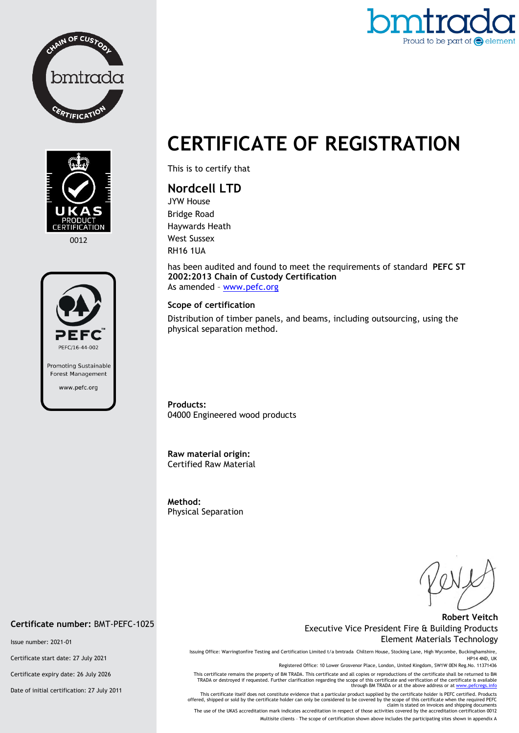



# **CERTIFICATE OF REGISTRATION**

0012



This is to certify that

## **Nordcell LTD**

JYW House Bridge Road Haywards Heath West Sussex RH16 1UA

has been audited and found to meet the requirements of standard **PEFC ST 2002:2013 Chain of Custody Certification** As amended – [www.pefc.org](http://www.pefc.org/)

#### **Scope of certification**

Distribution of timber panels, and beams, including outsourcing, using the physical separation method.

**Products:**  04000 Engineered wood products

**Raw material origin:** Certified Raw Material

**Method:**  Physical Separation

#### **Robert Veitch** Executive Vice President Fire & Building Products Element Materials Technology

Issuing Office: Warringtonfire Testing and Certification Limited t/a bmtrada Chiltern House, Stocking Lane, High Wycombe, Buckinghamshire, HP14 4ND, UK

Registered Office: 10 Lower Grosvenor Place, London, United Kingdom, SW1W 0EN Reg.No. 11371436

This certificate remains the property of BM TRADA. This certificate and all copies or reproductions of the certificate shall be returned to BM TRADA or destroyed if requested. Further clarification regarding the scope of this certificate and verification of the certificate is available<br>through BM TRADA or at the above address or a[t www.pefcregs.info](http://www.pefcregs.info/)

This certificate itself does not constitute evidence that a particular product supplied by the certificate holder is PEFC certified. Products offered, shipped or sold by the certificate holder can only be considered to be covered by the scope of this certificate when the required PEFC<br>claim is stated on invoices and shipping documents<br>The use of the UKAS accredi

Multisite clients – The scope of certification shown above includes the participating sites shown in appendix A

#### **Certificate number:** BMT-PEFC-1025

Issue number: 2021-01

Certificate start date: 27 July 2021

Certificate expiry date: 26 July 2026

Date of initial certification: 27 July 2011